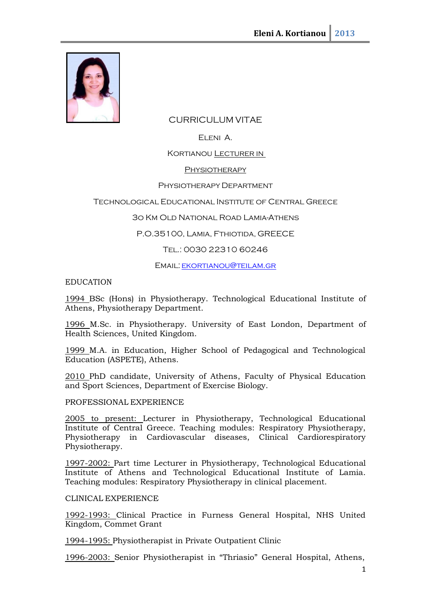

# CURRICULUM VITAE

# Eleni A.

KORTIANOU **LECTURER IN** 

## **PHYSIOTHERAPY**

### Physiotherapy Department

## Technological Educational Institute of Central Greece

## 3o Km Old National Road Lamia-Athens

## P.O.35100, Lamia, Fthiotida, GREECE

## Tel.: 0030 22310 60246

### EMAIL: EKORTIANOU@TEILAM.GR

### EDUCATION

1994 BSc (Hons) in Physiotherapy. Technological Educational Institute of Athens, Physiotherapy Department.

1996 M.Sc. in Physiotherapy. University of East London, Department of Health Sciences, United Kingdom.

1999 M.A. in Education, Higher School of Pedagogical and Technological Education (ASPETE), Athens.

2010 PhD candidate, University of Athens, Faculty of Physical Education and Sport Sciences, Department of Exercise Biology.

### PROFESSIONAL EXPERIENCE

2005 to present: Lecturer in Physiotherapy, Technological Educational Institute of Central Greece. Teaching modules: Respiratory Physiotherapy, Physiotherapy in Cardiovascular diseases, Clinical Cardiorespiratory Physiotherapy.

1997-2002: Part time Lecturer in Physiotherapy, Technological Educational Institute of Athens and Technological Educational Institute of Lamia. Teaching modules: Respiratory Physiotherapy in clinical placement.

### CLINICAL EXPERIENCE

1992-1993: Clinical Practice in Furness General Hospital, NHS United Kingdom, Commet Grant

1994-1995: Physiotherapist in Private Outpatient Clinic

1996-2003: Senior Physiotherapist in "Thriasio" General Hospital, Athens,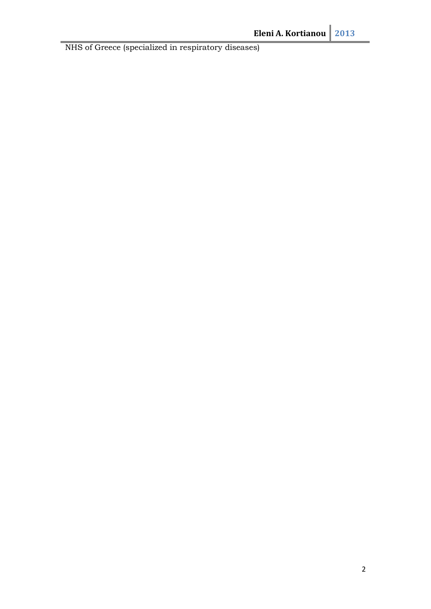NHS of Greece (specialized in respiratory diseases)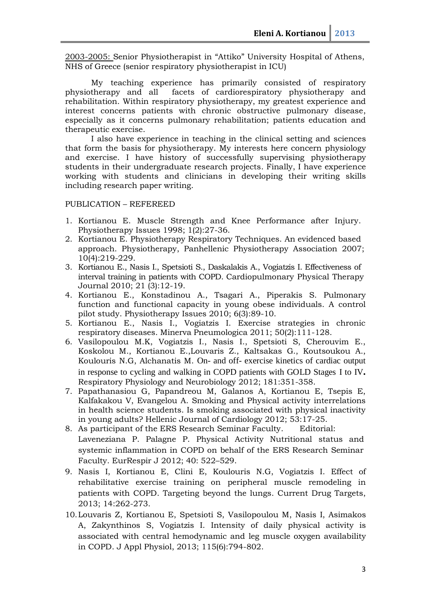2003-2005: Senior Physiotherapist in "Attiko" University Hospital of Athens, NHS of Greece (senior respiratory physiotherapist in ICU)

My teaching experience has primarily consisted of respiratory<br>physiotherapy and all facets of cardiorespiratory physiotherapy and facets of cardiorespiratory physiotherapy and rehabilitation. Within respiratory physiotherapy, my greatest experience and interest concerns patients with chronic obstructive pulmonary disease, especially as it concerns pulmonary rehabilitation; patients education and therapeutic exercise.

I also have experience in teaching in the clinical setting and sciences that form the basis for physiotherapy. My interests here concern physiology and exercise. I have history of successfully supervising physiotherapy students in their undergraduate research projects. Finally, I have experience working with students and clinicians in developing their writing skills including research paper writing.

PUBLICATION – REFEREED

- 1. Kortianou E. Muscle Strength and Knee Performance after Injury. Physiotherapy Issues 1998; 1(2):27-36.
- 2. Kortianou E. Physiotherapy Respiratory Techniques. An evidenced based approach. Physiotherapy, Panhellenic Physiotherapy Association 2007; 10(4):219-229.
- 3. Kortianou E., Nasis I., Spetsioti S., Daskalakis A., Vogiatzis I. Effectiveness of interval training in patients with COPD. Cardiopulmonary Physical Therapy Journal 2010; 21 (3):12-19.
- 4. Kortianou E., Konstadinou A., Tsagari A., Piperakis S. Pulmonary function and functional capacity in young obese individuals. A control pilot study. Physiotherapy Issues 2010; 6(3):89-10.
- 5. Kortianou E., Nasis I., Vogiatzis I. Exercise strategies in chronic respiratory diseases. Minerva Pneumologica 2011; 50(2):111-128.
- 6. Vasilopoulou M.K, Vogiatzis I., Nasis I., Spetsioti S, Cherouvim E., Koskolou M., Kortianou E.,Louvaris Z., Kaltsakas G., Koutsoukou A., Koulouris N.G, Alchanatis M. On- and off- exercise kinetics of cardiac output in response to cycling and walking in COPD patients with GOLD Stages I to IV**.** Respiratory Physiology and Neurobiology 2012; 181:351-358.
- 7. Papathanasiou G, Papandreou M, Galanos A, Kortianou E, Tsepis E, Kalfakakou V, Evangelou A. Smoking and Physical activity interrelations in health science students. Is smoking associated with physical inactivity in young adults? Hellenic Journal of Cardiology 2012; 53:17-25.
- 8. As participant of the ERS Research Seminar Faculty. Editorial: Laveneziana P. Palagne P. Physical Activity Nutritional status and systemic inflammation in COPD on behalf of the ERS Research Seminar Faculty. EurRespir J 2012; 40: 522–529.
- 9. Nasis I, Kortianou E, Clini Ε, Koulouris N.G, Vogiatzis I. Effect of rehabilitative exercise training on peripheral muscle remodeling in patients with COPD. Targeting beyond the lungs. Current Drug Targets, 2013; 14:262-273.
- 10.Louvaris Z, Kortianou E, Spetsioti S, Vasilopoulou M, Nasis I, Asimakos A, Zakynthinos S, Vogiatzis I. Intensity of daily physical activity is associated with central hemodynamic and leg muscle oxygen availability in COPD. J Appl Physiol, 2013; 115(6):794-802.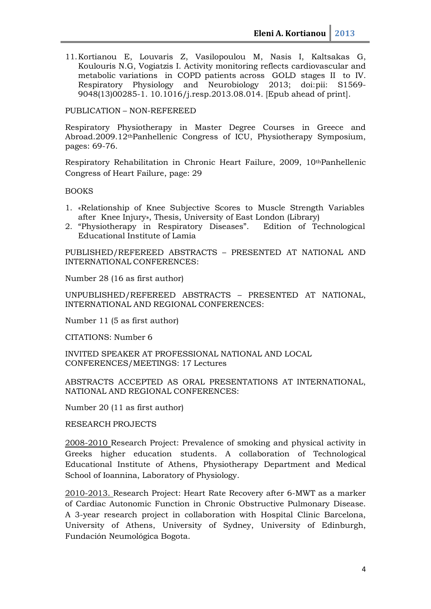11.Kortianou E, Louvaris Z, Vasilopoulou M, Nasis I, Kaltsakas G, Koulouris N.G, Vogiatzis I. Activity monitoring reflects cardiovascular and metabolic variations in COPD patients across GOLD stages II to IV.<br>Respiratory Physiology and Neurobiology 2013; doi:pii: S1569and Neurobiology 2013; 9048(13)00285-1. 10.1016/j.resp.2013.08.014. [Epub ahead of print].

PUBLICATION – NON-REFEREED

Respiratory Physiotherapy in Master Degree Courses in Greece and Abroad.2009.12thPanhellenic Congress of ICU, Physiotherapy Symposium, pages: 69-76.

Respiratory Rehabilitation in Chronic Heart Failure, 2009, 10<sup>th</sup>Panhellenic Congress of Heart Failure, page: 29

#### BOOKS

- 1. «Relationship of Knee Subjective Scores to Μuscle Strength Variables after Knee Injury», Thesis, University of East London (Library)
- 2. "Physiotherapy in Respiratory Diseases". Edition of Technological Educational Institute of Lamia

PUBLISHED/REFEREED ABSTRACTS – PRESENTED AT NATIONAL AND INTERNATIONAL CONFERENCES:

Number 28 (16 as first author)

UNPUBLISHED/REFEREED ABSTRACTS – PRESENTED AT NATIONAL, INTERNATIONAL AND REGIONAL CONFERENCES:

Number 11 (5 as first author)

CITATIONS: Number 6

INVITED SPEAKER AT PROFESSIONAL NATIONAL AND LOCAL CONFERENCES/MEETINGS: 17 Lectures

ABSTRACTS ACCEPTED AS ORAL PRESENTATIONS AT INTERNATIONAL, NATIONAL AND REGIONAL CONFERENCES:

Number 20 (11 as first author)

RESEARCH PROJECTS

2008-2010 Research Project: Prevalence of smoking and physical activity in Greeks higher education students. A collaboration of Technological Educational Institute of Athens, Physiotherapy Department and Medical School of Ioannina, Laboratory of Physiology.

2010-2013. Research Project: Heart Rate Recovery after 6-MWT as a marker of Cardiac Autonomic Function in Chronic Obstructive Pulmonary Disease. A 3-year research project in collaboration with Hospital Clinic Barcelona, University of Athens, University of Sydney, University of Edinburgh, Fundación Neumológica Bogota.